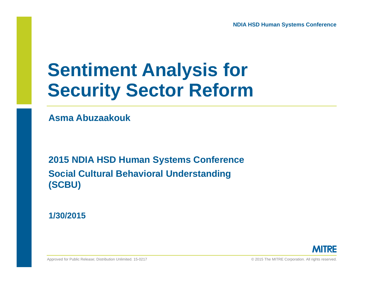#### **Sentiment Analysis for Security Sector Reform**

**Asma Abuzaakouk**

**2015 NDIA HSD Human Systems Conference Social Cultural Behavioral Understanding (SCBU)**

**1/30/2015**

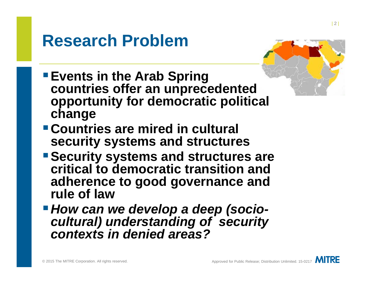#### **Research Problem**



- **Events in the Arab Spring countries offer an unprecedented opportunity for democratic political change**
- **Countries are mired in cultural security systems and structures**
- **Security systems and structures are critical to democratic transition and adherence to good governance and rule of law**
- *How can we develop a deep (sociocultural) understanding of security contexts in denied areas?*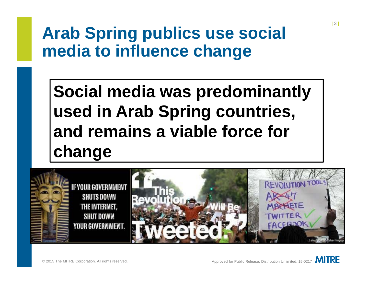#### **Arab Spring publics use social media to influence change**

**Social media was predominantly used in Arab Spring countries, and remains a viable force for change**

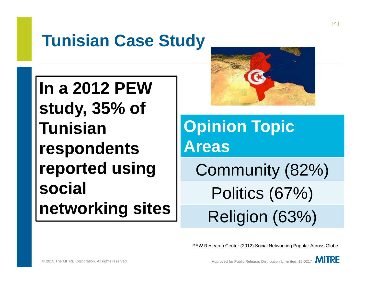#### **Tunisian Case Study**

**In a 2012 PEW study, 35% of Tunisian respondents reported using social networking sites**



**Opinion Topic Areas**Community (82%)

> Politics (67%) Religion (63%)

PEW Research Center (2012).Social Networking Popular Across Globe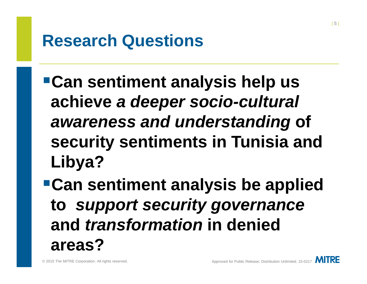#### **Research Questions**

- **Can sentiment analysis help us achieve** *a deeper socio-cultural awareness and understanding* **of security sentiments in Tunisia and Libya?**
- **Can sentiment analysis be applied to** *support security governance* **and** *transformation* **in denied areas?**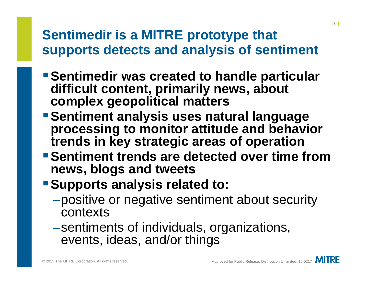#### **Sentimedir is a MITRE prototype that supports detects and analysis of sentiment**

- **Sentimedir was created to handle particular difficult content, primarily news, about complex geopolitical matters**
- **Sentiment analysis uses natural language processing to monitor attitude and behavior trends in key strategic areas of operation**
- **Sentiment trends are detected over time from news, blogs and tweets**
- **Supports analysis related to:** 
	- –positive or negative sentiment about security contexts
	- –sentiments of individuals, organizations, events, ideas, and/or things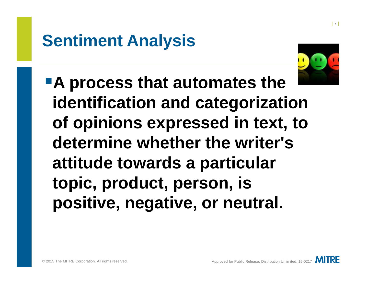#### **Sentiment Analysis**



**A process that automates the identification and categorization of opinions expressed in text, to determine whether the writer's attitude towards a particular topic, product, person, is positive, negative, or neutral.**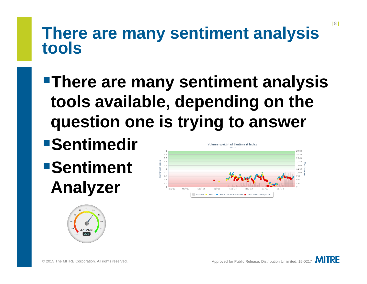## **There are many sentiment analysis tools**

- **There are many sentiment analysis tools available, depending on the question one is trying to answer**
- **Sentimedir**
- **Sentiment Analyzer**



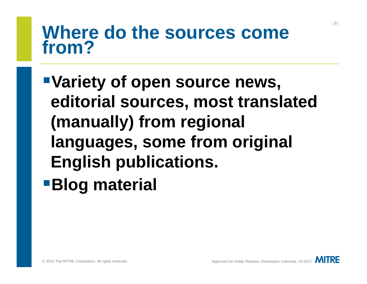#### **Where do the sources come from?**

**Variety of open source news, editorial sources, most translated (manually) from regional languages, some from original English publications. Blog material**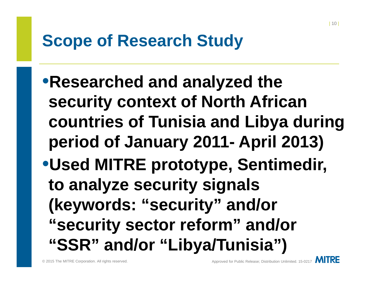#### **Scope of Research Study**

•**Researched and analyzed the security context of North African countries of Tunisia and Libya during period of January 2011- April 2013)** •**Used MITRE prototype, Sentimedir, to analyze security signals (keywords: "security" and/or "security sector reform" and/or "SSR" and/or "Libya/Tunisia")**

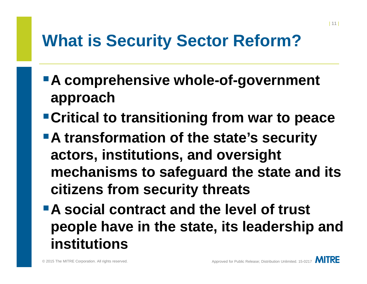#### **What is Security Sector Reform?**

- **A comprehensive whole-of-government approach**
- **Critical to transitioning from war to peace**
- **A transformation of the state's security actors, institutions, and oversight mechanisms to safeguard the state and its citizens from security threats**
- **A social contract and the level of trust people have in the state, its leadership and institutions**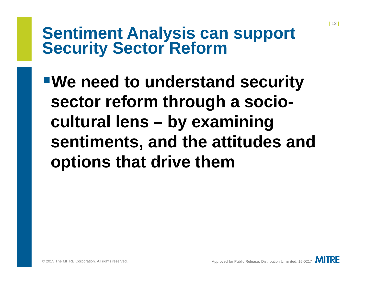### **Sentiment Analysis can support Security Sector Reform**

**We need to understand security sector reform through a sociocultural lens – by examining sentiments, and the attitudes and options that drive them**

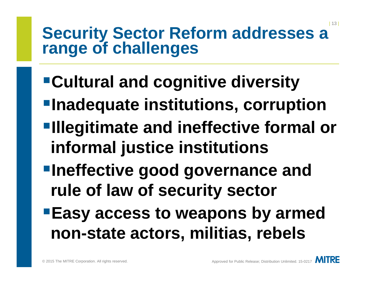## **Security Sector Reform addresses a range of challenges**

- **Cultural and cognitive diversity**
- **Inadequate institutions, corruption**
- **Illegitimate and ineffective formal or informal justice institutions**
- **Ineffective good governance and rule of law of security sector**
- **Easy access to weapons by armed non-state actors, militias, rebels**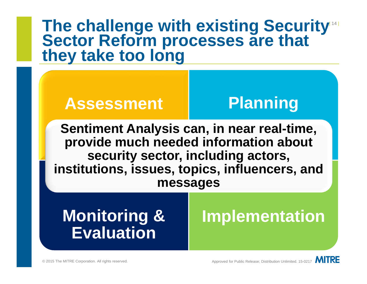# The challenge with existing Security<br>Sector Reform processes are that<br><u>they take too long</u>

#### **Assessment Planning**

**Sentiment Analysis can, in near real-time, provide much needed information about security sector, including actors, institutions, issues, topics, influencers, and messages**

#### **Monitoring & Evaluation**

#### **Implementation**

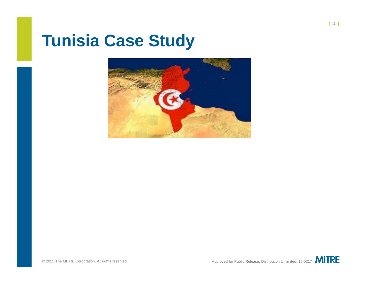#### **Tunisia Case Study**

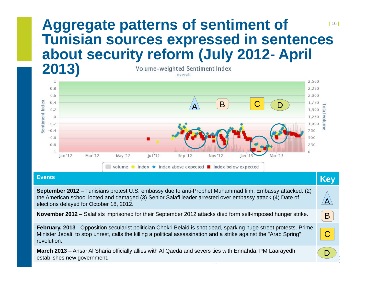#### | 16 | **Aggregate patterns of sentiment of Tunisian sources expressed in sentences about security reform (July 2012- April**



| <u> 'Events </u>                                                                                                                                                                                                                                                | <b>Key</b>              |  |
|-----------------------------------------------------------------------------------------------------------------------------------------------------------------------------------------------------------------------------------------------------------------|-------------------------|--|
| September 2012 – Tunisians protest U.S. embassy due to anti-Prophet Muhammad film. Embassy attacked. (2)<br>the American school looted and damaged (3) Senior Salafi leader arrested over embassy attack (4) Date of<br>elections delayed for October 18, 2012. | $\overline{\mathsf{A}}$ |  |
| November 2012 – Salafists imprisoned for their September 2012 attacks died form self-imposed hunger strike.                                                                                                                                                     | B                       |  |
| February, 2013 - Opposition secularist politician Chokri Belaid is shot dead, sparking huge street protests. Prime<br>Minister Jebali, to stop unrest, calls the killing a political assassination and a strike against the "Arab Spring"<br>revolution.        | С                       |  |
| March 2013 – Ansar Al Sharia officially allies with Al Qaeda and severs ties with Ennahda. PM Laarayedh<br>establishes new government.                                                                                                                          |                         |  |

© 2015 The MITRE Corporation. All rights reserved. Approved for Public Release; Distribution Unlimited. 15-0217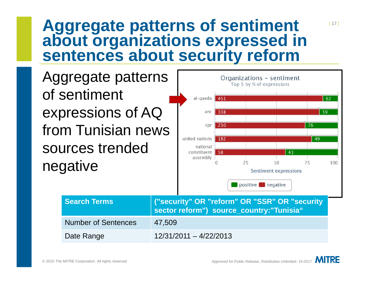# **Aggregate patterns of sentiment about organizations expressed in sentences about security reform**



| 17 |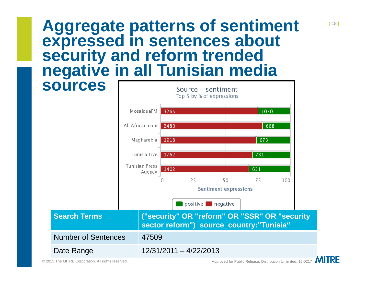# **Aggregate patterns of sentiment expressed in sentences about security and reform trended negative in all Tunisian media**

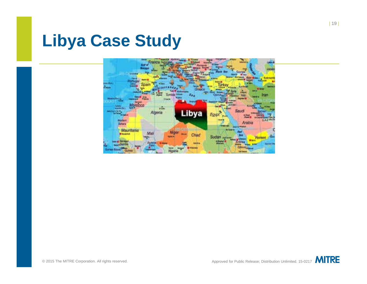#### **Libya Case Study**

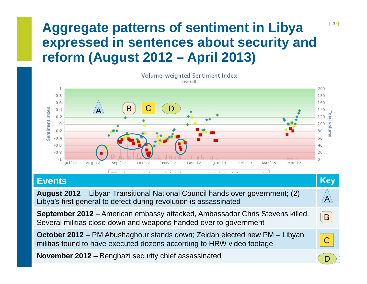#### **Aggregate patterns of sentiment in Libya expressed in sentences about security and reform (August 2012 – April 2013)**



|  |  | المسافي والمستحدث والمنابي المستقلة المستحدث والمستحدث والمستقل المستقل المستقلة المستحدث والمستحدث والمستحدث |  |
|--|--|---------------------------------------------------------------------------------------------------------------|--|

| <b>Events</b>                                                                                                                                             | <b>Key</b> |
|-----------------------------------------------------------------------------------------------------------------------------------------------------------|------------|
| August 2012 – Libyan Transitional National Council hands over government; (2)<br>Libya's first general to defect during revolution is assassinated        | Ά          |
| September 2012 - American embassy attacked, Ambassador Chris Stevens killed.<br>Several militias close down and weapons handed over to government         | B          |
| <b>October 2012</b> – PM Abushaghour stands down; Zeidan elected new PM – Libyan<br>militias found to have executed dozens according to HRW video footage |            |
| November 2012 - Benghazi security chief assassinated                                                                                                      |            |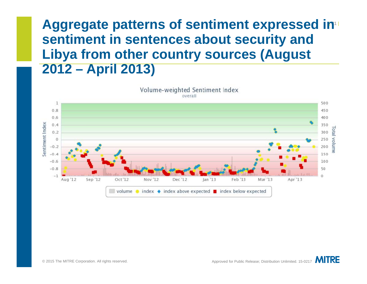#### Aggregate patterns of sentiment expressed in<sup>1</sup> **sentiment in sentences about security and Libya from other country sources (August 2012 – April 2013)**



Volume-weighted Sentiment Index overall

**MITRE**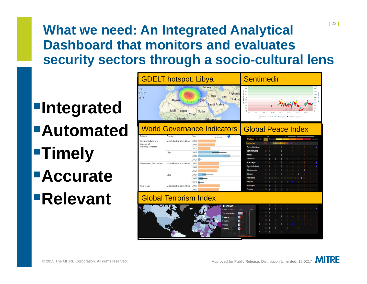#### | 22 | **What we need: An Integrated Analytical Dashboard that monitors and evaluates security sectors through a socio-cultural lens**

**Integrated AutomatedTimely AccurateRelevant** 

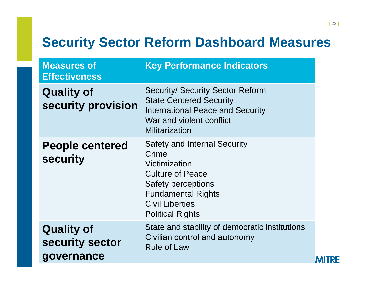#### **Security Sector Reform Dashboard Measures**

| <b>Measures of</b><br><b>Effectiveness</b>         | <b>Key Performance Indicators</b>                                                                                                                                                                |    |
|----------------------------------------------------|--------------------------------------------------------------------------------------------------------------------------------------------------------------------------------------------------|----|
| <b>Quality of</b><br>security provision            | <b>Security/ Security Sector Reform</b><br><b>State Centered Security</b><br><b>International Peace and Security</b><br>War and violent conflict<br><b>Militarization</b>                        |    |
| <b>People centered</b><br><b>security</b>          | <b>Safety and Internal Security</b><br>Crime<br>Victimization<br><b>Culture of Peace</b><br>Safety perceptions<br><b>Fundamental Rights</b><br><b>Civil Liberties</b><br><b>Political Rights</b> |    |
| <b>Quality of</b><br>security sector<br>governance | State and stability of democratic institutions<br>Civilian control and autonomy<br><b>Rule of Law</b>                                                                                            | RE |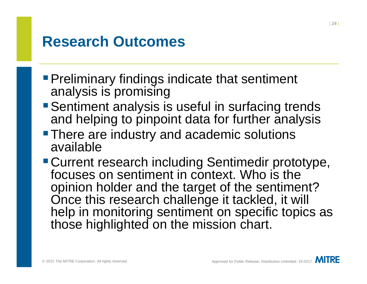#### **Research Outcomes**

- **Preliminary findings indicate that sentiment** analysis is promising
- Sentiment analysis is useful in surfacing trends and helping to pinpoint data for further analysis
- **There are industry and academic solutions** available
- Current research including Sentimedir prototype, focuses on sentiment in context. Who is the opinion holder and the target of the sentiment? Once this research challenge it tackled, it will help in monitoring sentiment on specific topics as those highlighted on the mission chart.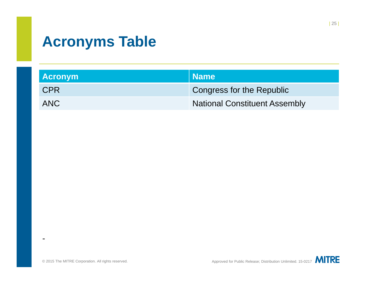#### **Acronyms Table**

| <b>Acronym</b> | Name                                 |
|----------------|--------------------------------------|
| <b>CPR</b>     | Congress for the Republic            |
| ANC            | <b>National Constituent Assembly</b> |

-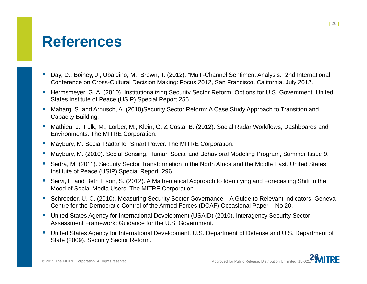#### **References**

- L Day, D.; Boiney, J.; Ubaldino, M.; Brown, T. (2012). "Multi-Channel Sentiment Analysis." 2nd International Conference on Cross-Cultural Decision Making: Focus 2012, San Francisco, California, July 2012.
- $\mathcal{L}_{\mathcal{A}}$  Hermsmeyer, G. A. (2010). Institutionalizing Security Sector Reform: Options for U.S. Government. United States Institute of Peace (USIP) Special Report 255.
- $\mathcal{C}$  Maharg, S. and Arnusch, A. (2010)Security Sector Reform: A Case Study Approach to Transition and Capacity Building.
- $\mathcal{L}_{\mathcal{A}}$  Mathieu, J.; Fulk, M.; Lorber, M.; Klein, G. & Costa, B. (2012). Social Radar Workflows, Dashboards and Environments. The MITRE Corporation.
- $\mathcal{C}$ Maybury, M. Social Radar for Smart Power. The MITRE Corporation.
- г Maybury, M. (2010). Social Sensing. Human Social and Behavioral Modeling Program, Summer Issue 9.
- L Sedra, M. (2011). Security Sector Transformation in the North Africa and the Middle East. United States Institute of Peace (USIP) Special Report 296.
- $\overline{\phantom{a}}$  Servi, L. and Beth Elson, S. (2012). A Mathematical Approach to Identifying and Forecasting Shift in the Mood of Social Media Users. The MITRE Corporation.
- $\mathcal{C}$  Schroeder, U. C. (2010). Measuring Security Sector Governance – A Guide to Relevant Indicators. Geneva Centre for the Democratic Control of the Armed Forces (DCAF) Occasional Paper – No 20.
- United States Agency for International Development (USAID) (2010). Interagency Security Sector Assessment Framework: Guidance for the U.S. Government.
- $\mathcal{L}_{\mathcal{A}}$  United States Agency for International Development, U.S. Department of Defense and U.S. Department of State (2009). Security Sector Reform.